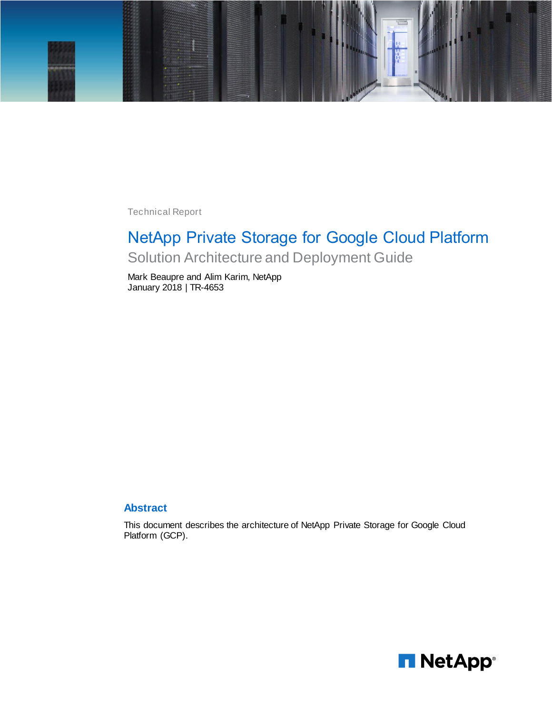

Technical Report

# NetApp Private Storage for Google Cloud Platform Solution Architecture and Deployment Guide

Mark Beaupre and Alim Karim, NetApp January 2018 | TR-4653

#### **Abstract**

This document describes the architecture of NetApp Private Storage for Google Cloud Platform (GCP).

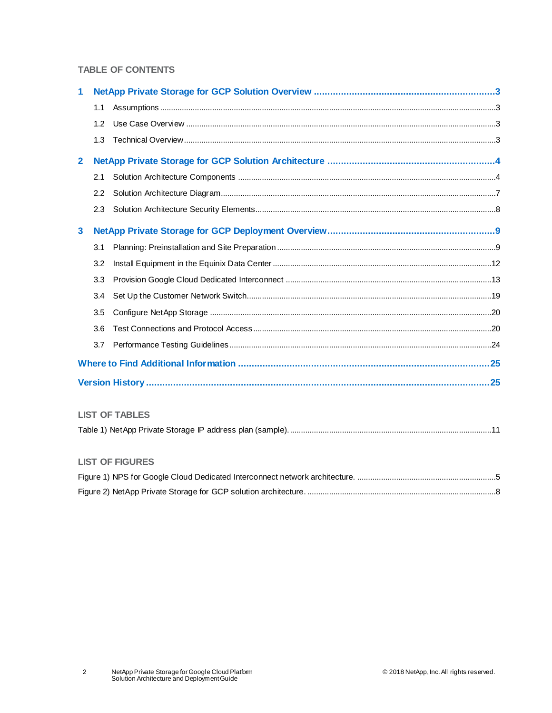#### **TABLE OF CONTENTS**

| 1              |     |    |  |  |  |  |  |
|----------------|-----|----|--|--|--|--|--|
|                | 1.1 |    |  |  |  |  |  |
|                | 1.2 |    |  |  |  |  |  |
|                | 1.3 |    |  |  |  |  |  |
| $\overline{2}$ |     |    |  |  |  |  |  |
|                | 2.1 |    |  |  |  |  |  |
|                | 2.2 |    |  |  |  |  |  |
|                | 2.3 |    |  |  |  |  |  |
| 3              |     |    |  |  |  |  |  |
|                | 3.1 |    |  |  |  |  |  |
|                | 3.2 |    |  |  |  |  |  |
|                | 3.3 |    |  |  |  |  |  |
|                | 3.4 |    |  |  |  |  |  |
|                | 3.5 |    |  |  |  |  |  |
|                | 3.6 |    |  |  |  |  |  |
|                | 3.7 |    |  |  |  |  |  |
|                |     |    |  |  |  |  |  |
|                |     | 25 |  |  |  |  |  |

## **LIST OF TABLES**

#### **LIST OF FIGURES**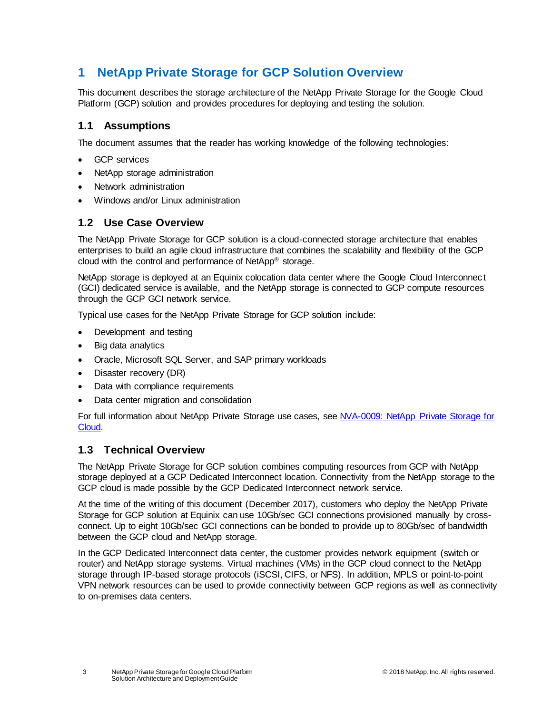## <span id="page-2-0"></span>**1 NetApp Private Storage for GCP Solution Overview**

This document describes the storage architecture of the NetApp Private Storage for the Google Cloud Platform (GCP) solution and provides procedures for deploying and testing the solution.

## <span id="page-2-1"></span>**1.1 Assumptions**

The document assumes that the reader has working knowledge of the following technologies:

- GCP services
- NetApp storage administration
- Network administration
- Windows and/or Linux administration

## <span id="page-2-2"></span>**1.2 Use Case Overview**

The NetApp Private Storage for GCP solution is a cloud-connected storage architecture that enables enterprises to build an agile cloud infrastructure that combines the scalability and flexibility of the GCP cloud with the control and performance of NetApp® storage.

NetApp storage is deployed at an Equinix colocation data center where the Google Cloud Interconnect (GCI) dedicated service is available, and the NetApp storage is connected to GCP compute resources through the GCP GCI network service.

Typical use cases for the NetApp Private Storage for GCP solution include:

- Development and testing
- Big data analytics
- Oracle, Microsoft SQL Server, and SAP primary workloads
- Disaster recovery (DR)
- Data with compliance requirements
- Data center migration and consolidation

For full information about NetApp Private Storage use cases, see NVA-0009: [NetApp Private Storage for](https://www.netapp.com/us/media/nva-0009.pdf)  [Cloud.](https://www.netapp.com/us/media/nva-0009.pdf)

## <span id="page-2-3"></span>**1.3 Technical Overview**

The NetApp Private Storage for GCP solution combines computing resources from GCP with NetApp storage deployed at a GCP Dedicated Interconnect location. Connectivity from the NetApp storage to the GCP cloud is made possible by the GCP Dedicated Interconnect network service.

At the time of the writing of this document (December 2017), customers who deploy the NetApp Private Storage for GCP solution at Equinix can use 10Gb/sec GCI connections provisioned manually by crossconnect. Up to eight 10Gb/sec GCI connections can be bonded to provide up to 80Gb/sec of bandwidth between the GCP cloud and NetApp storage.

In the GCP Dedicated Interconnect data center, the customer provides network equipment (switch or router) and NetApp storage systems. Virtual machines (VMs) in the GCP cloud connect to the NetApp storage through IP-based storage protocols (iSCSI, CIFS, or NFS). In addition, MPLS or point-to-point VPN network resources can be used to provide connectivity between GCP regions as well as connectivity to on-premises data centers.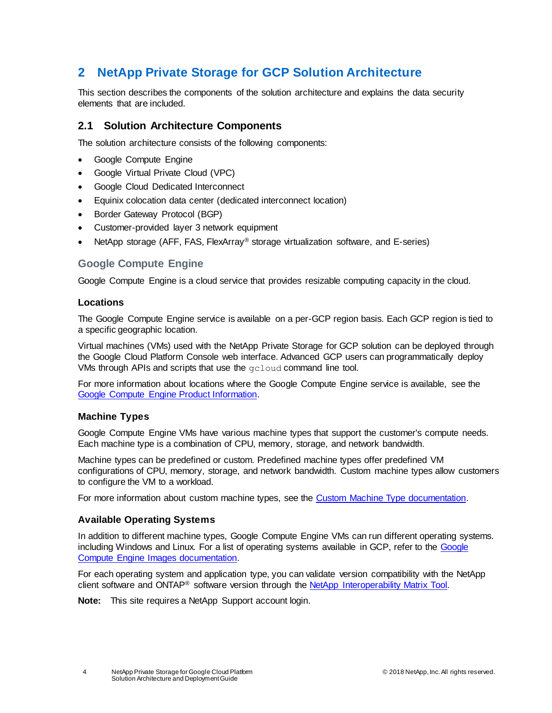## <span id="page-3-0"></span>**2 NetApp Private Storage for GCP Solution Architecture**

This section describes the components of the solution architecture and explains the data security elements that are included.

## <span id="page-3-1"></span>**2.1 Solution Architecture Components**

The solution architecture consists of the following components:

- Google Compute Engine
- Google Virtual Private Cloud (VPC)
- Google Cloud Dedicated Interconnect
- Equinix colocation data center (dedicated interconnect location)
- Border Gateway Protocol (BGP)
- Customer-provided layer 3 network equipment
- NetApp storage (AFF, FAS, FlexArray® storage virtualization software, and E-series)

## **Google Compute Engine**

Google Compute Engine is a cloud service that provides resizable computing capacity in the cloud.

#### **Locations**

The Google Compute Engine service is available on a per-GCP region basis. Each GCP region is tied to a specific geographic location.

Virtual machines (VMs) used with the NetApp Private Storage for GCP solution can be deployed through the Google Cloud Platform Console web interface. Advanced GCP users can programmatically deploy VMs through APIs and scripts that use the gcloud command line tool.

For more information about locations where the Google Compute Engine service is available, see the [Google Compute Engine Product Information.](https://cloud.google.com/compute/)

#### **Machine Types**

Google Compute Engine VMs have various machine types that support the customer's compute needs. Each machine type is a combination of CPU, memory, storage, and network bandwidth.

Machine types can be predefined or custom. Predefined machine types offer predefined VM configurations of CPU, memory, storage, and network bandwidth. Custom machine types allow customers to configure the VM to a workload.

For more information about custom machine types, see the [Custom Machine Type documentation.](https://cloud.google.com/custom-machine-types/)

#### **Available Operating Systems**

In addition to different machine types, Google Compute Engine VMs can run different operating systems. including Windows and Linux. For a list of operating systems available in GCP, refer to the Google [Compute Engine Images documentation.](https://cloud.google.com/compute/docs/images#os-compute-support)

For each operating system and application type, you can validate version compatibility with the NetApp client software and ONTAP® software version through the [NetApp Interoperability Matrix Tool.](https://mysupport.netapp.com/matrix/#search) 

**Note:** This site requires a NetApp Support account login.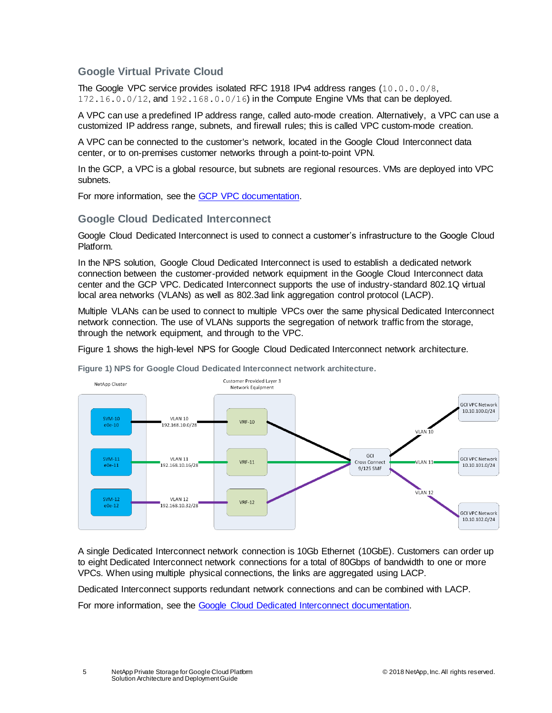#### **Google Virtual Private Cloud**

The Google VPC service provides isolated RFC 1918 IPv4 address ranges (10.0.0.0/8, 172.16.0.0/12, and 192.168.0.0/16) in the Compute Engine VMs that can be deployed.

A VPC can use a predefined IP address range, called auto-mode creation. Alternatively, a VPC can use a customized IP address range, subnets, and firewall rules; this is called VPC custom-mode creation.

A VPC can be connected to the customer's network, located in the Google Cloud Interconnect data center, or to on-premises customer networks through a point-to-point VPN.

In the GCP, a VPC is a global resource, but subnets are regional resources. VMs are deployed into VPC subnets.

For more information, see the GCP [VPC documentation.](https://cloud.google.com/compute/docs/vpc/)

#### **Google Cloud Dedicated Interconnect**

Google Cloud Dedicated Interconnect is used to connect a customer's infrastructure to the Google Cloud Platform.

In the NPS solution, Google Cloud Dedicated Interconnect is used to establish a dedicated network connection between the customer-provided network equipment in the Google Cloud Interconnect data center and the GCP VPC. Dedicated Interconnect supports the use of industry-standard 802.1Q virtual local area networks (VLANs) as well as 802.3ad link aggregation control protocol (LACP).

Multiple VLANs can be used to connect to multiple VPCs over the same physical Dedicated Interconnect network connection. The use of VLANs supports the segregation of network traffic from the storage, through the network equipment, and through to the VPC.

[Figure 1](#page-4-0) shows the high-level NPS for Google Cloud Dedicated Interconnect network architecture.

<span id="page-4-0"></span>**Figure 1) NPS for Google Cloud Dedicated Interconnect network architecture.**



A single Dedicated Interconnect network connection is 10Gb Ethernet (10GbE). Customers can order up to eight Dedicated Interconnect network connections for a total of 80Gbps of bandwidth to one or more VPCs. When using multiple physical connections, the links are aggregated using LACP.

Dedicated Interconnect supports redundant network connections and can be combined with LACP.

For more information, see the [Google Cloud Dedicated Interconnect](https://cloud.google.com/interconnect/docs/) documentation.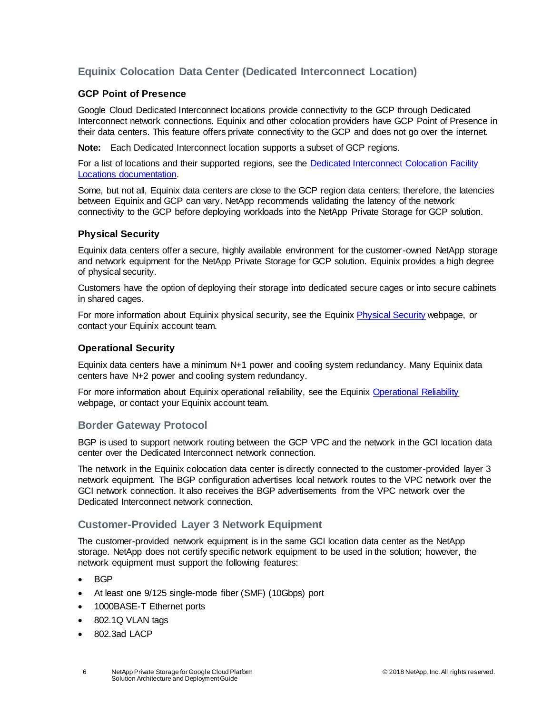## **Equinix Colocation Data Center (Dedicated Interconnect Location)**

#### **GCP Point of Presence**

Google Cloud Dedicated Interconnect locations provide connectivity to the GCP through Dedicated Interconnect network connections. Equinix and other colocation providers have GCP Point of Presence in their data centers. This feature offers private connectivity to the GCP and does not go over the internet.

**Note:** Each Dedicated Interconnect location supports a subset of GCP regions.

For a list of locations and their supported regions, see the [Dedicated Interconnect Colocation Facility](https://cloud.google.com/interconnect/docs/concepts/colocation-facilities)  [Locations documentation.](https://cloud.google.com/interconnect/docs/concepts/colocation-facilities)

Some, but not all, Equinix data centers are close to the GCP region data centers; therefore, the latencies between Equinix and GCP can vary. NetApp recommends validating the latency of the network connectivity to the GCP before deploying workloads into the NetApp Private Storage for GCP solution.

#### **Physical Security**

Equinix data centers offer a secure, highly available environment for the customer-owned NetApp storage and network equipment for the NetApp Private Storage for GCP solution. Equinix provides a high degree of physical security.

Customers have the option of deploying their storage into dedicated secure cages or into secure cabinets in shared cages.

For more information about Equinix physical security, see the Equini[x Physical Security](http://www.equinix.com/resources/videos/ibx-data-center-physical-security/) webpage, or contact your Equinix account team.

#### **Operational Security**

Equinix data centers have a minimum N+1 power and cooling system redundancy. Many Equinix data centers have N+2 power and cooling system redundancy.

For more information about Equinix operational reliability, see the Equinix [Operational Reliability](http://www.equinix.com/why-equinix/operational-reliability/) webpage, or contact your Equinix account team.

## **Border Gateway Protocol**

BGP is used to support network routing between the GCP VPC and the network in the GCI location data center over the Dedicated Interconnect network connection.

The network in the Equinix colocation data center is directly connected to the customer-provided layer 3 network equipment. The BGP configuration advertises local network routes to the VPC network over the GCI network connection. It also receives the BGP advertisements from the VPC network over the Dedicated Interconnect network connection.

## **Customer-Provided Layer 3 Network Equipment**

The customer-provided network equipment is in the same GCI location data center as the NetApp storage. NetApp does not certify specific network equipment to be used in the solution; however, the network equipment must support the following features:

- BGP
- At least one 9/125 single-mode fiber (SMF) (10Gbps) port
- 1000BASE-T Ethernet ports
- 802.1Q VLAN tags
- 802.3ad LACP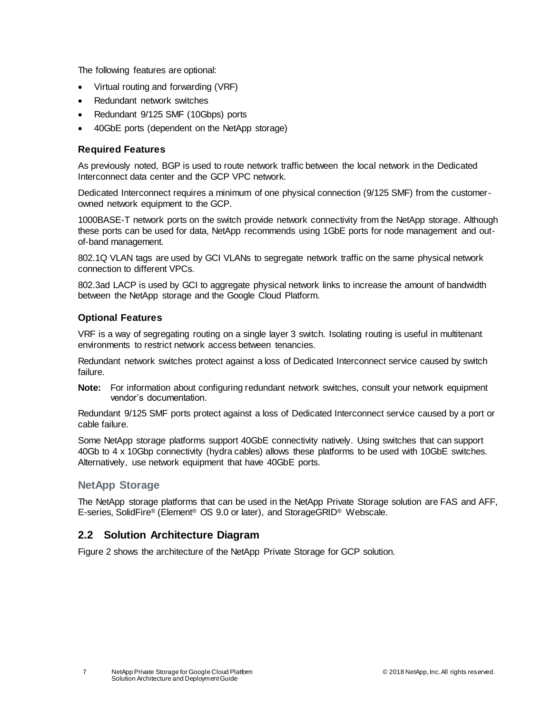The following features are optional:

- Virtual routing and forwarding (VRF)
- Redundant network switches
- Redundant 9/125 SMF (10Gbps) ports
- 40GbE ports (dependent on the NetApp storage)

#### **Required Features**

As previously noted, BGP is used to route network traffic between the local network in the Dedicated Interconnect data center and the GCP VPC network.

Dedicated Interconnect requires a minimum of one physical connection (9/125 SMF) from the customerowned network equipment to the GCP.

1000BASE-T network ports on the switch provide network connectivity from the NetApp storage. Although these ports can be used for data, NetApp recommends using 1GbE ports for node management and outof-band management.

802.1Q VLAN tags are used by GCI VLANs to segregate network traffic on the same physical network connection to different VPCs.

802.3ad LACP is used by GCI to aggregate physical network links to increase the amount of bandwidth between the NetApp storage and the Google Cloud Platform.

#### **Optional Features**

VRF is a way of segregating routing on a single layer 3 switch. Isolating routing is useful in multitenant environments to restrict network access between tenancies.

Redundant network switches protect against a loss of Dedicated Interconnect service caused by switch failure.

**Note:** For information about configuring redundant network switches, consult your network equipment vendor's documentation.

Redundant 9/125 SMF ports protect against a loss of Dedicated Interconnect service caused by a port or cable failure.

Some NetApp storage platforms support 40GbE connectivity natively. Using switches that can support 40Gb to 4 x 10Gbp connectivity (hydra cables) allows these platforms to be used with 10GbE switches. Alternatively, use network equipment that have 40GbE ports.

## **NetApp Storage**

The NetApp storage platforms that can be used in the NetApp Private Storage solution are FAS and AFF, E-series, SolidFire® (Element® OS 9.0 or later), and StorageGRID® Webscale.

## <span id="page-6-0"></span>**2.2 Solution Architecture Diagram**

Figure 2 shows the architecture of the NetApp Private Storage for GCP solution.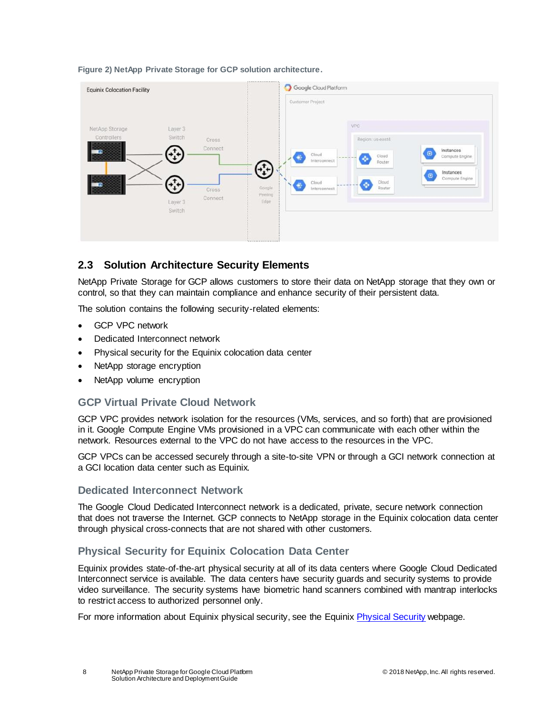#### <span id="page-7-1"></span>**Figure 2) NetApp Private Storage for GCP solution architecture.**



## <span id="page-7-0"></span>**2.3 Solution Architecture Security Elements**

NetApp Private Storage for GCP allows customers to store their data on NetApp storage that they own or control, so that they can maintain compliance and enhance security of their persistent data.

The solution contains the following security-related elements:

- **GCP VPC network**
- Dedicated Interconnect network
- Physical security for the Equinix colocation data center
- NetApp storage encryption
- NetApp volume encryption

#### **GCP Virtual Private Cloud Network**

GCP VPC provides network isolation for the resources (VMs, services, and so forth) that are provisioned in it. Google Compute Engine VMs provisioned in a VPC can communicate with each other within the network. Resources external to the VPC do not have access to the resources in the VPC.

GCP VPCs can be accessed securely through a site-to-site VPN or through a GCI network connection at a GCI location data center such as Equinix.

#### **Dedicated Interconnect Network**

The Google Cloud Dedicated Interconnect network is a dedicated, private, secure network connection that does not traverse the Internet. GCP connects to NetApp storage in the Equinix colocation data center through physical cross-connects that are not shared with other customers.

## **Physical Security for Equinix Colocation Data Center**

Equinix provides state-of-the-art physical security at all of its data centers where Google Cloud Dedicated Interconnect service is available. The data centers have security guards and security systems to provide video surveillance. The security systems have biometric hand scanners combined with mantrap interlocks to restrict access to authorized personnel only.

For more information about Equinix physical security, see the Equinix [Physical Security](http://www.equinix.com/resources/videos/ibx-data-center-physical-security/) webpage.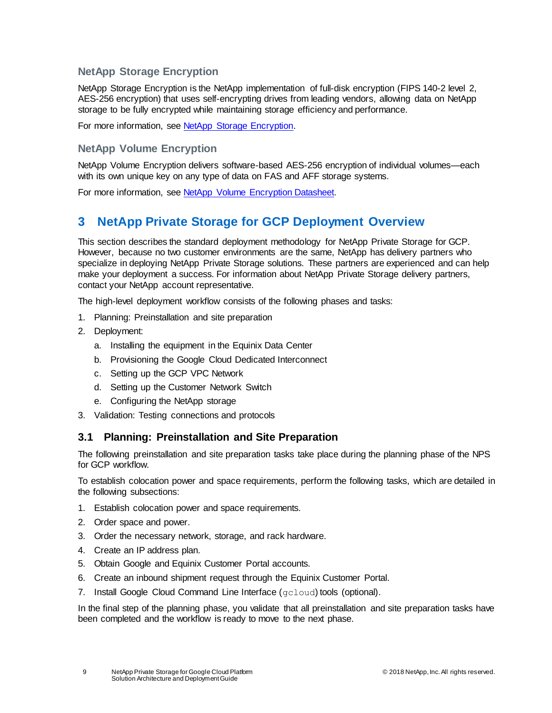## **NetApp Storage Encryption**

NetApp Storage Encryption is the NetApp implementation of full-disk encryption (FIPS 140-2 level 2, AES-256 encryption) that uses self-encrypting drives from leading vendors, allowing data on NetApp storage to be fully encrypted while maintaining storage efficiency and performance.

For more information, see [NetApp Storage Encryption.](http://www.netapp.com/us/products/storage-security-systems/netapp-storage-encryption.aspx)

## **NetApp Volume Encryption**

NetApp Volume Encryption delivers software-based AES-256 encryption of individual volumes—each with its own unique key on any type of data on FAS and AFF storage systems.

For more information, see [NetApp Volume Encryption](http://www.netapp.com/us/media/ds-3899.pdf) Datasheet.

## <span id="page-8-0"></span>**3 NetApp Private Storage for GCP Deployment Overview**

This section describes the standard deployment methodology for NetApp Private Storage for GCP. However, because no two customer environments are the same, NetApp has delivery partners who specialize in deploying NetApp Private Storage solutions. These partners are experienced and can help make your deployment a success. For information about NetApp Private Storage delivery partners, contact your NetApp account representative.

The high-level deployment workflow consists of the following phases and tasks:

- 1. Planning: Preinstallation and site preparation
- 2. Deployment:
	- a. Installing the equipment in the Equinix Data Center
	- b. Provisioning the Google Cloud Dedicated Interconnect
	- c. Setting up the GCP VPC Network
	- d. Setting up the Customer Network Switch
	- e. Configuring the NetApp storage
- 3. Validation: Testing connections and protocols

## <span id="page-8-1"></span>**3.1 Planning: Preinstallation and Site Preparation**

The following preinstallation and site preparation tasks take place during the planning phase of the NPS for GCP workflow.

To establish colocation power and space requirements, perform the following tasks, which are detailed in the following subsections:

- 1. Establish colocation power and space requirements.
- 2. Order space and power.
- 3. Order the necessary network, storage, and rack hardware.
- 4. Create an IP address plan.
- 5. Obtain Google and Equinix Customer Portal accounts.
- 6. Create an inbound shipment request through the Equinix Customer Portal.
- 7. Install Google Cloud Command Line Interface (gcloud) tools (optional).

In the final step of the planning phase, you validate that all preinstallation and site preparation tasks have been completed and the workflow is ready to move to the next phase.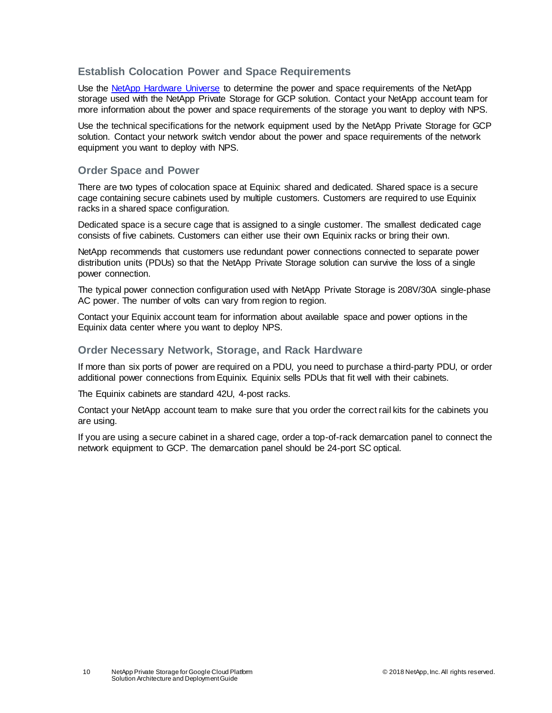#### **Establish Colocation Power and Space Requirements**

Use the [NetApp Hardware Universe](https://hwu.netapp.com/) to determine the power and space requirements of the NetApp storage used with the NetApp Private Storage for GCP solution. Contact your NetApp account team for more information about the power and space requirements of the storage you want to deploy with NPS.

Use the technical specifications for the network equipment used by the NetApp Private Storage for GCP solution. Contact your network switch vendor about the power and space requirements of the network equipment you want to deploy with NPS.

#### **Order Space and Power**

There are two types of colocation space at Equinix: shared and dedicated. Shared space is a secure cage containing secure cabinets used by multiple customers. Customers are required to use Equinix racks in a shared space configuration.

Dedicated space is a secure cage that is assigned to a single customer. The smallest dedicated cage consists of five cabinets. Customers can either use their own Equinix racks or bring their own.

NetApp recommends that customers use redundant power connections connected to separate power distribution units (PDUs) so that the NetApp Private Storage solution can survive the loss of a single power connection.

The typical power connection configuration used with NetApp Private Storage is 208V/30A single-phase AC power. The number of volts can vary from region to region.

Contact your Equinix account team for information about available space and power options in the Equinix data center where you want to deploy NPS.

#### **Order Necessary Network, Storage, and Rack Hardware**

If more than six ports of power are required on a PDU, you need to purchase a third-party PDU, or order additional power connections from Equinix. Equinix sells PDUs that fit well with their cabinets.

The Equinix cabinets are standard 42U, 4-post racks.

Contact your NetApp account team to make sure that you order the correct rail kits for the cabinets you are using.

If you are using a secure cabinet in a shared cage, order a top-of-rack demarcation panel to connect the network equipment to GCP. The demarcation panel should be 24-port SC optical.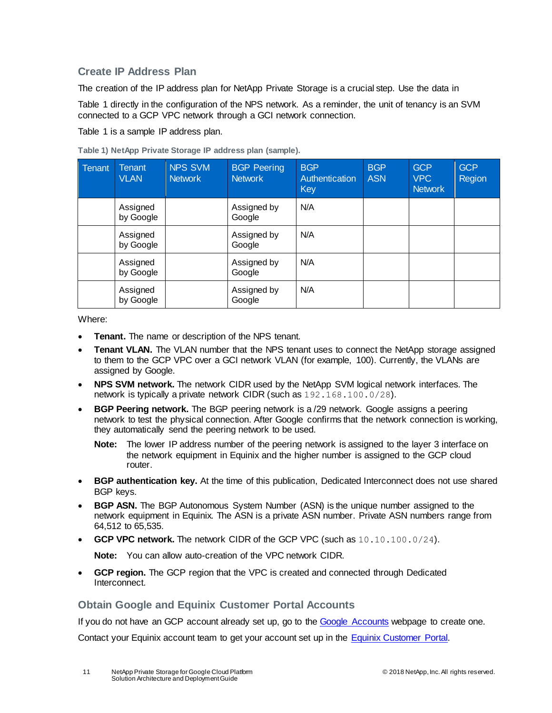## **Create IP Address Plan**

The creation of the IP address plan for NetApp Private Storage is a crucial step. Use the data i[n](#page-10-1) 

[Table 1](#page-10-1) directly in the configuration of the NPS network. As a reminder, the unit of tenancy is an SVM connected to a GCP VPC network through a GCI network connection[.](#page-10-1)

#### <span id="page-10-1"></span>[Table 1](#page-10-1) is a sample IP address plan.

<span id="page-10-0"></span>

| Table 1) NetApp Private Storage IP address plan (sample). |  |  |  |  |
|-----------------------------------------------------------|--|--|--|--|
|                                                           |  |  |  |  |

| <b>Tenant</b> | <b>Tenant</b><br><b>VLAN</b> | <b>NPS SVM</b><br><b>Network</b> | <b>BGP Peering</b><br><b>Network</b> | <b>BGP</b><br>Authentication<br>Key | <b>BGP</b><br><b>ASN</b> | <b>GCP</b><br><b>VPC</b><br><b>Network</b> | <b>GCP</b><br>Region |
|---------------|------------------------------|----------------------------------|--------------------------------------|-------------------------------------|--------------------------|--------------------------------------------|----------------------|
|               | Assigned<br>by Google        |                                  | Assigned by<br>Google                | N/A                                 |                          |                                            |                      |
|               | Assigned<br>by Google        |                                  | Assigned by<br>Google                | N/A                                 |                          |                                            |                      |
|               | Assigned<br>by Google        |                                  | Assigned by<br>Google                | N/A                                 |                          |                                            |                      |
|               | Assigned<br>by Google        |                                  | Assigned by<br>Google                | N/A                                 |                          |                                            |                      |

Where:

- **Tenant.** The name or description of the NPS tenant.
- **Tenant VLAN.** The VLAN number that the NPS tenant uses to connect the NetApp storage assigned to them to the GCP VPC over a GCI network VLAN (for example, 100). Currently, the VLANs are assigned by Google.
- **NPS SVM network.** The network CIDR used by the NetApp SVM logical network interfaces. The network is typically a private network CIDR (such as 192.168.100.0/28).
- **BGP Peering network.** The BGP peering network is a /29 network. Google assigns a peering network to test the physical connection. After Google confirms that the network connection is working, they automatically send the peering network to be used.

**Note:** The lower IP address number of the peering network is assigned to the layer 3 interface on the network equipment in Equinix and the higher number is assigned to the GCP cloud router.

- **BGP authentication key.** At the time of this publication, Dedicated Interconnect does not use shared BGP keys.
- **BGP ASN.** The BGP Autonomous System Number (ASN) is the unique number assigned to the network equipment in Equinix. The ASN is a private ASN number. Private ASN numbers range from 64,512 to 65,535.
- **GCP VPC network.** The network CIDR of the GCP VPC (such as 10.10.100.0/24).

**Note:** You can allow auto-creation of the VPC network CIDR.

• **GCP region.** The GCP region that the VPC is created and connected through Dedicated Interconnect.

#### **Obtain Google and Equinix Customer Portal Accounts**

If you do not have an GCP account already set up, go to the [Google Accounts](https://accounts.google.com/) webpage to create one.

Contact your Equinix account team to get your account set up in the [Equinix Customer Portal.](https://portal.equinix.com/)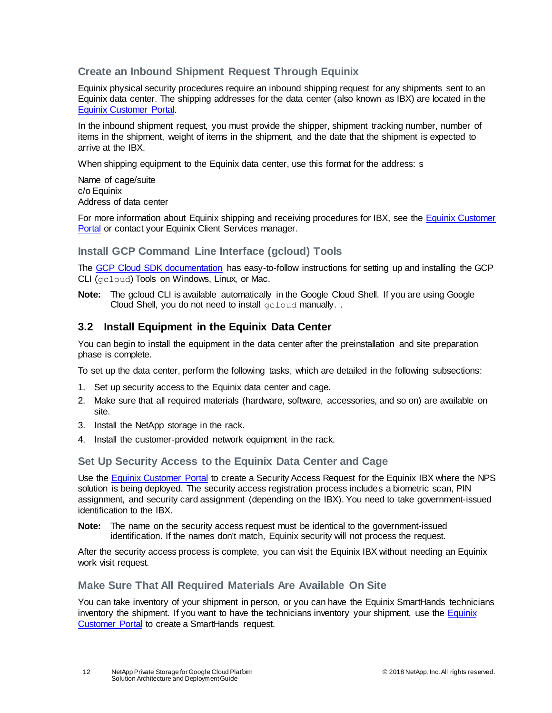## **Create an Inbound Shipment Request Through Equinix**

Equinix physical security procedures require an inbound shipping request for any shipments sent to an Equinix data center. The shipping addresses for the data center (also known as IBX) are located in the [Equinix Customer Portal.](https://portal.equinix.com/)

In the inbound shipment request, you must provide the shipper, shipment tracking number, number of items in the shipment, weight of items in the shipment, and the date that the shipment is expected to arrive at the IBX.

When shipping equipment to the Equinix data center, use this format for the address: s

Name of cage/suite c/o Equinix Address of data center

For more information about Equinix shipping and receiving procedures for IBX, see the [Equinix Customer](https://portal.equinix.com/)  [Portal](https://portal.equinix.com/) or contact your Equinix Client Services manager.

#### **Install GCP Command Line Interface (gcloud) Tools**

The [GCP Cloud SDK documentation](https://cloud.google.com/sdk/gcloud/) has easy-to-follow instructions for setting up and installing the GCP CLI (gcloud) Tools on Windows, Linux, or Mac.

**Note:** The gcloud CLI is available automatically in the Google Cloud Shell. If you are using Google Cloud Shell, you do not need to install gcloud manually...

## <span id="page-11-0"></span>**3.2 Install Equipment in the Equinix Data Center**

You can begin to install the equipment in the data center after the preinstallation and site preparation phase is complete.

To set up the data center, perform the following tasks, which are detailed in the following subsections:

- 1. Set up security access to the Equinix data center and cage.
- 2. Make sure that all required materials (hardware, software, accessories, and so on) are available on site.
- 3. Install the NetApp storage in the rack.
- 4. Install the customer-provided network equipment in the rack.

## **Set Up Security Access to the Equinix Data Center and Cage**

Use the [Equinix Customer Portal](https://portal.equinix.com/) to create a Security Access Request for the Equinix IBX where the NPS solution is being deployed. The security access registration process includes a biometric scan, PIN assignment, and security card assignment (depending on the IBX). You need to take government-issued identification to the IBX.

**Note:** The name on the security access request must be identical to the government-issued identification. If the names don't match, Equinix security will not process the request.

After the security access process is complete, you can visit the Equinix IBX without needing an Equinix work visit request.

## **Make Sure That All Required Materials Are Available On Site**

You can take inventory of your shipment in person, or you can have the Equinix SmartHands technicians inventory the shipment. If you want to have the technicians inventory your shipment, use the [Equinix](https://portal.equinix.com/)  [Customer Portal](https://portal.equinix.com/) to create a SmartHands request.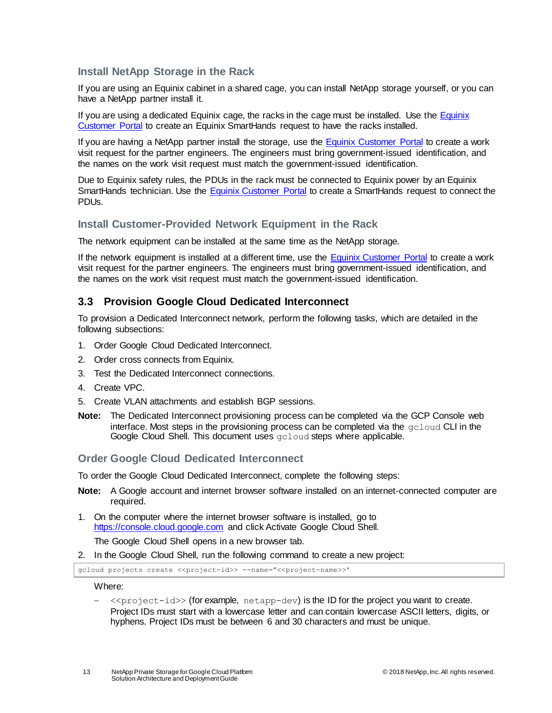#### **Install NetApp Storage in the Rack**

If you are using an Equinix cabinet in a shared cage, you can install NetApp storage yourself, or you can have a NetApp partner install it.

If you are using a dedicated Equinix cage, the racks in the cage must be installed. Use the [Equinix](https://portal.equinix.com/)  [Customer Portal](https://portal.equinix.com/) to create an Equinix SmartHands request to have the racks installed.

If you are having a NetApp partner install the storage, use the [Equinix Customer Portal](https://portal.equinix.com/) to create a work visit request for the partner engineers. The engineers must bring government-issued identification, and the names on the work visit request must match the government-issued identification.

Due to Equinix safety rules, the PDUs in the rack must be connected to Equinix power by an Equinix SmartHands technician. Use the [Equinix Customer Portal](https://portal.equinix.com/) to create a SmartHands request to connect the PDUs.

#### **Install Customer-Provided Network Equipment in the Rack**

The network equipment can be installed at the same time as the NetApp storage.

If the network equipment is installed at a different time, use the [Equinix Customer Portal](https://portal.equinix.com/) to create a work visit request for the partner engineers. The engineers must bring government-issued identification, and the names on the work visit request must match the government-issued identification.

## <span id="page-12-0"></span>**3.3 Provision Google Cloud Dedicated Interconnect**

To provision a Dedicated Interconnect network, perform the following tasks, which are detailed in the following subsections:

- 1. Order Google Cloud Dedicated Interconnect.
- 2. Order cross connects from Equinix.
- 3. Test the Dedicated Interconnect connections.
- 4. Create VPC.
- 5. Create VLAN attachments and establish BGP sessions.
- **Note:** The Dedicated Interconnect provisioning process can be completed via the GCP Console web interface. Most steps in the provisioning process can be completed via the gcloud CLI in the Google Cloud Shell. This document uses goloud steps where applicable.

#### **Order Google Cloud Dedicated Interconnect**

To order the Google Cloud Dedicated Interconnect, complete the following steps:

- **Note:** A Google account and internet browser software installed on an internet-connected computer are required.
- 1. On the computer where the internet browser software is installed, go to [https://console.cloud.google.com](https://console.cloud.google.com/) and click Activate Google Cloud Shell.

The Google Cloud Shell opens in a new browser tab.

2. In the Google Cloud Shell, run the following command to create a new project:

gcloud projects create << project-id>> --name="<< project-name>>'

Where:

 <<project-id>> (for example, netapp-dev) is the ID for the project you want to create. Project IDs must start with a lowercase letter and can contain lowercase ASCII letters, digits, or hyphens. Project IDs must be between 6 and 30 characters and must be unique.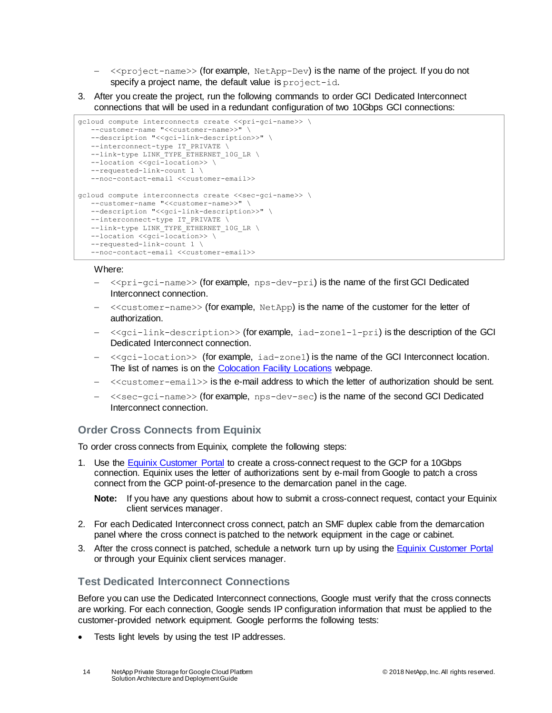- $\leq$ project-name>> (for example, NetApp-Dev) is the name of the project. If you do not specify a project name, the default value is project-id.
- 3. After you create the project, run the following commands to order GCI Dedicated Interconnect connections that will be used in a redundant configuration of two 10Gbps GCI connections:

```
gcloud compute interconnects create <<pri-gci-name>> \
    --customer-name "<<customer-name>>" \
    --description "<<gci-link-description>>" \
  --interconnect-type IT PRIVATE \
   --link-type LINK TYPE ETHERNET 10G LR \
   --location <<gci-location>> \
    --requested-link-count 1 \
    --noc-contact-email <<customer-email>>
gcloud compute interconnects create <<sec-gci-name>> \
    --customer-name "<<customer-name>>" \
    --description "<<gci-link-description>>" \
   --interconnect-type IT PRIVATE \
   --link-type LINK TYPE ETHERNET 10G LR \
   --location << gci-location>> \
    --requested-link-count 1 \
    --noc-contact-email <<customer-email>>
```
Where:

- <<pri-gci-name>> (for example, nps-dev-pri) is the name of the first GCI Dedicated Interconnect connection.
- <<customer-name>> (for example, NetApp) is the name of the customer for the letter of authorization.
- <<gci-link-description>> (for example, iad-zone1-1-pri) is the description of the GCI Dedicated Interconnect connection.
- $-$  <<gci-location>> (for example, iad-zone1) is the name of the GCI Interconnect location. The list of names is on the [Colocation Facility Locations](https://cloud.google.com/interconnect/docs/concepts/colocation-facilities) webpage.
- <<customer-email>> is the e-mail address to which the letter of authorization should be sent.
- <<sec-gci-name>> (for example, nps-dev-sec) is the name of the second GCI Dedicated Interconnect connection.

## **Order Cross Connects from Equinix**

To order cross connects from Equinix, complete the following steps:

- 1. Use the [Equinix Customer Portal](https://portal.equinix.com/) to create a cross-connect request to the GCP for a 10Gbps connection. Equinix uses the letter of authorizations sent by e-mail from Google to patch a cross connect from the GCP point-of-presence to the demarcation panel in the cage.
	- **Note:** If you have any questions about how to submit a cross-connect request, contact your Equinix client services manager.
- 2. For each Dedicated Interconnect cross connect, patch an SMF duplex cable from the demarcation panel where the cross connect is patched to the network equipment in the cage or cabinet.
- 3. After the cross connect is patched, schedule a network turn up by using the [Equinix Customer Portal](https://portal.equinix.com/) or through your Equinix client services manager.

## **Test Dedicated Interconnect Connections**

Before you can use the Dedicated Interconnect connections, Google must verify that the cross connects are working. For each connection, Google sends IP configuration information that must be applied to the customer-provided network equipment. Google performs the following tests:

Tests light levels by using the test IP addresses.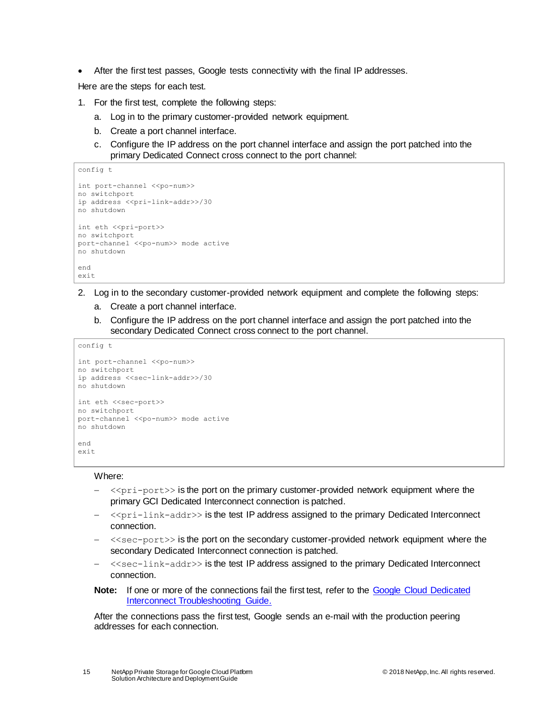• After the first test passes, Google tests connectivity with the final IP addresses.

Here are the steps for each test.

- 1. For the first test, complete the following steps:
	- a. Log in to the primary customer-provided network equipment.
	- b. Create a port channel interface.
	- c. Configure the IP address on the port channel interface and assign the port patched into the primary Dedicated Connect cross connect to the port channel:

```
config t
int port-channel <<po-num>>
no switchport
ip address <<pri-link-addr>>/30
no shutdown
int eth << pri-port>>
no switchport
port-channel << po-num>> mode active
no shutdown
end
exit
```
- 2. Log in to the secondary customer-provided network equipment and complete the following steps:
	- a. Create a port channel interface.
	- b. Configure the IP address on the port channel interface and assign the port patched into the secondary Dedicated Connect cross connect to the port channel.

config t

```
int port-channel <<po-num>>
no switchport
ip address <<sec-link-addr>>/30
no shutdown
int eth <<sec-port>>
no switchport
port-channel <<po-num>> mode active
no shutdown
end
exit
```
#### Where:

- $\langle$ pri-port>> is the port on the primary customer-provided network equipment where the primary GCI Dedicated Interconnect connection is patched.
- $\langle \langle \text{pri-link-addr}\rangle \rangle$  is the test IP address assigned to the primary Dedicated Interconnect connection.
- $-$  <  $\leq$  sec-port>> is the port on the secondary customer-provided network equipment where the secondary Dedicated Interconnect connection is patched.
- $-$  <<sec-link-addr>> is the test IP address assigned to the primary Dedicated Interconnect connection.
- Note: If one or more of the connections fail the first test, refer to the [Google Cloud](https://cloud.google.com/interconnect/docs/how-to/dedicated/troubleshooting) Dedicated [Interconnect Troubleshooting Guide.](https://cloud.google.com/interconnect/docs/how-to/dedicated/troubleshooting)

After the connections pass the first test, Google sends an e-mail with the production peering addresses for each connection.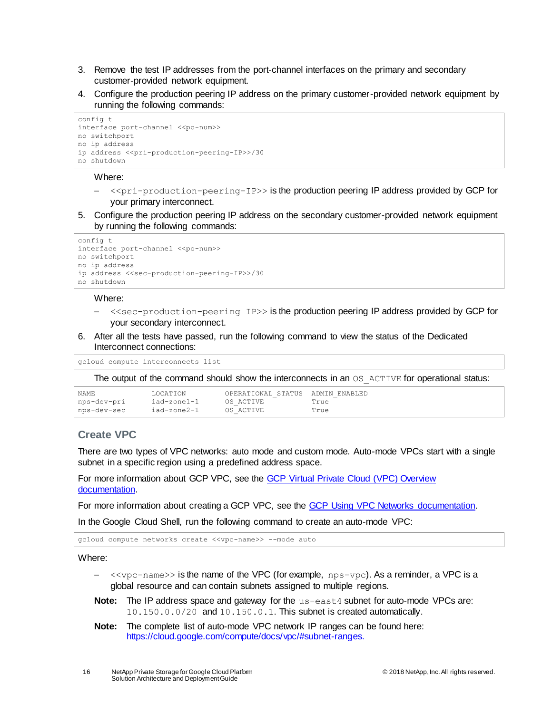- 3. Remove the test IP addresses from the port-channel interfaces on the primary and secondary customer-provided network equipment.
- 4. Configure the production peering IP address on the primary customer-provided network equipment by running the following commands:

```
config t
interface port-channel <<po-num>>
no switchport
no ip address
ip address << pri-production-peering-IP>>>/30
no shutdown
```
Where:

- <<pri-production-peering-IP>> is the production peering IP address provided by GCP for your primary interconnect.
- 5. Configure the production peering IP address on the secondary customer-provided network equipment by running the following commands:

```
config t
interface port-channel <<po-num>>
no switchport
no ip address
ip address <<sec-production-peering-IP>>/30
no shutdown
```
Where:

- <<sec-production-peering IP>> is the production peering IP address provided by GCP for your secondary interconnect.
- 6. After all the tests have passed, run the following command to view the status of the Dedicated Interconnect connections:

gcloud compute interconnects list

The output of the command should show the interconnects in an  $\circ$ s  $\land$ ACTIVE for operational status:

| NAME        | LOCATION    | OPERATIONAL STATUS ADMIN ENABLED |      |
|-------------|-------------|----------------------------------|------|
| nps-dev-pri | iad-zone1-1 | OS ACTIVE                        | True |
| nps-dev-sec | iad-zone2-1 | OS ACTIVE                        | True |

## **Create VPC**

There are two types of VPC networks: auto mode and custom mode. Auto-mode VPCs start with a single subnet in a specific region using a predefined address space.

For more information about GCP VPC, see the [GCP Virtual Private Cloud \(VPC\) Overview](https://cloud.google.com/compute/docs/vpc/)  [documentation.](https://cloud.google.com/compute/docs/vpc/)

For more information about creating a GCP VPC, see the [GCP Using VPC Networks documentation.](https://cloud.google.com/compute/docs/vpc/using-vpc) 

In the Google Cloud Shell, run the following command to create an auto-mode VPC:

gcloud compute networks create <<vpc-name>> --mode auto

Where:

- $\langle \langle v \rangle$   $\langle v \rangle$  is the name of the VPC (for example, nps-vpc). As a reminder, a VPC is a global resource and can contain subnets assigned to multiple regions.
- **Note:** The IP address space and gateway for the us-east 4 subnet for auto-mode VPCs are:  $10.150.0.0/20$  and  $10.150.0.1$ . This subnet is created automatically.
- **Note:** The complete list of auto-mode VPC network IP ranges can be found here: [https://cloud.google.com/compute/docs/vpc/#subnet-ranges.](https://cloud.google.com/compute/docs/vpc/#subnet-ranges)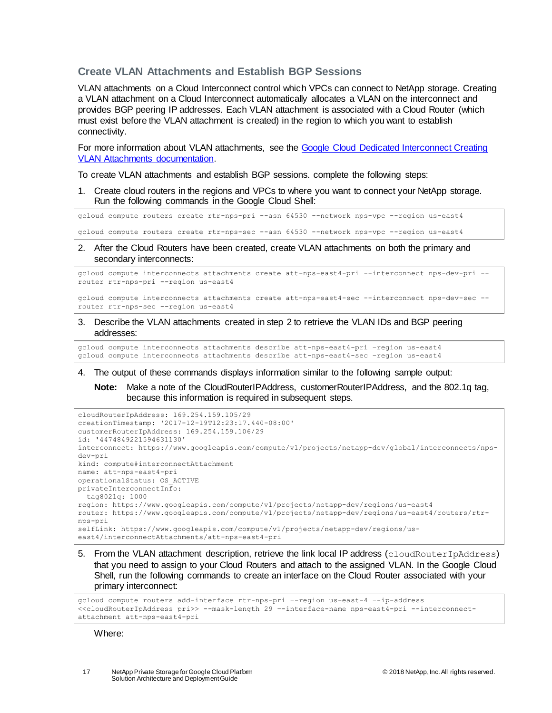#### <span id="page-16-0"></span>**Create VLAN Attachments and Establish BGP Sessions**

VLAN attachments on a Cloud Interconnect control which VPCs can connect to NetApp storage. Creating a VLAN attachment on a Cloud Interconnect automatically allocates a VLAN on the interconnect and provides BGP peering IP addresses. Each VLAN attachment is associated with a Cloud Router (which must exist before the VLAN attachment is created) in the region to which you want to establish connectivity.

For more information about VLAN attachments, see the Google Cloud [Dedicated Interconnect Creating](https://cloud.google.com/interconnect/docs/how-to/dedicated/creating-vlan-attachments)  [VLAN Attachments documentation.](https://cloud.google.com/interconnect/docs/how-to/dedicated/creating-vlan-attachments)

To create VLAN attachments and establish BGP sessions. complete the following steps:

1. Create cloud routers in the regions and VPCs to where you want to connect your NetApp storage. Run the following commands in the Google Cloud Shell:

gcloud compute routers create rtr-nps-pri --asn 64530 --network nps-vpc --region us-east4 gcloud compute routers create rtr-nps-sec --asn 64530 --network nps-vpc --region us-east4

2. After the Cloud Routers have been created, create VLAN attachments on both the primary and secondary interconnects:

```
gcloud compute interconnects attachments create att-nps-east4-pri --interconnect nps-dev-pri --
router rtr-nps-pri --region us-east4
gcloud compute interconnects attachments create att-nps-east4-sec --interconnect nps-dev-sec --
router rtr-nps-sec --region us-east4
```
3. Describe the VLAN attachments created in step 2 to retrieve the VLAN IDs and BGP peering addresses:

```
gcloud compute interconnects attachments describe att-nps-east4-pri –region us-east4
gcloud compute interconnects attachments describe att-nps-east4-sec –region us-east4
```
4. The output of these commands displays information similar to the following sample output:

**Note:** Make a note of the CloudRouterIPAddress, customerRouterIPAddress, and the 802.1q tag, because this information is required in subsequent steps.

```
cloudRouterIpAddress: 169.254.159.105/29
creationTimestamp: '2017-12-19T12:23:17.440-08:00'
customerRouterIpAddress: 169.254.159.106/29
id: '4474849221594631130'
interconnect: https://www.googleapis.com/compute/v1/projects/netapp-dev/global/interconnects/nps-
dev-pri
kind: compute#interconnectAttachment
name: att-nps-east4-pri
operationalStatus: OS_ACTIVE
privateInterconnectInfo:
  tag8021q: 1000
region: https://www.googleapis.com/compute/v1/projects/netapp-dev/regions/us-east4
router: https://www.googleapis.com/compute/v1/projects/netapp-dev/regions/us-east4/routers/rtr-
nps-pri
selfLink: https://www.googleapis.com/compute/v1/projects/netapp-dev/regions/us-
east4/interconnectAttachments/att-nps-east4-pri
```
5. From the VLAN attachment description, retrieve the link local IP address (cloudRouterIpAddress) that you need to assign to your Cloud Routers and attach to the assigned VLAN. In the Google Cloud Shell, run the following commands to create an interface on the Cloud Router associated with your primary interconnect:

```
gcloud compute routers add-interface rtr-nps-pri –-region us-east-4 –-ip-address 
<<cloudRouterIpAddress pri>> --mask-length 29 –-interface-name nps-east4-pri --interconnect-
attachment att-nps-east4-pri
```
Where: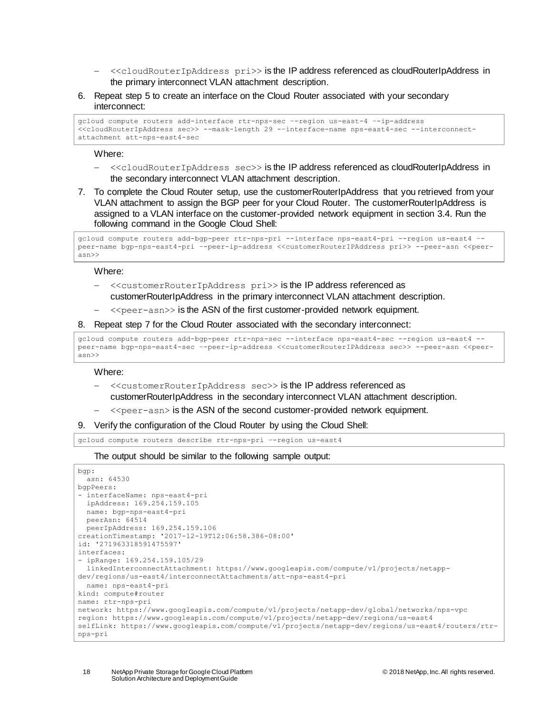- <<cloudRouterIpAddress pri>> i**s the IP address referenced as cloudRouterIpAddress in** the primary interconnect VLAN attachment description.
- 6. Repeat step 5 to create an interface on the Cloud Router associated with your secondary interconnect:

```
gcloud compute routers add-interface rtr-nps-sec –-region us-east-4 –-ip-address 
<<cloudRouterIpAddress sec>> --mask-length 29 -–interface-name nps-east4-sec --interconnect-
attachment att-nps-east4-sec
```
Where:

- <<cloudRouterIpAddress sec>> is the IP address referenced as cloudRouterIpAddress in the secondary interconnect VLAN attachment description.
- 7. To complete the Cloud Router setup, use the customerRouterIpAddress that you retrieved from your VLAN attachment to assign the BGP peer for your Cloud Router. The customerRouterIpAddress is assigned to a VLAN interface on the customer-provided network equipment in section 3.4. Run the following command in the Google Cloud Shell:

```
gcloud compute routers add-bgp-peer rtr-nps-pri --interface nps-east4-pri --region us-east4 –-
peer-name bgp-nps-east4-pri –-peer-ip-address <<customerRouterIPAddress pri>> --peer-asn <<peer-
asn>>
```
Where:

- <<customerRouterIpAddress pri>> is the IP address referenced as customerRouterIpAddress in the primary interconnect VLAN attachment description.
	- $\langle$   $\langle$  peer-asn  $\rangle$  is the ASN of the first customer-provided network equipment.

8. Repeat step 7 for the Cloud Router associated with the secondary interconnect:

```
gcloud compute routers add-bgp-peer rtr-nps-sec --interface nps-east4-sec --region us-east4 --
peer-name bgp-nps-east4-sec –-peer-ip-address <<customerRouterIPAddress sec>> --peer-asn <<peer-
asn>>
```
Where:

- <<customerRouterIpAddress sec>> is the IP address referenced as customerRouterIpAddress in the secondary interconnect VLAN attachment description.
- <<peer-asn> is the ASN of the second customer-provided network equipment.
- 9. Verify the configuration of the Cloud Router by using the Cloud Shell:

gcloud compute routers describe rtr-nps-pri –-region us-east4

The output should be similar to the following sample output:

```
bgp:
   asn: 64530
bgpPeers:
- interfaceName: nps-east4-pri
  ipAddress: 169.254.159.105
  name: bgp-nps-east4-pri
  peerAsn: 64514
  peerIpAddress: 169.254.159.106
creationTimestamp: '2017-12-19T12:06:58.386-08:00'
id: '271963318591475597'
interfaces:
- ipRange: 169.254.159.105/29
  linkedInterconnectAttachment: https://www.googleapis.com/compute/v1/projects/netapp-
dev/regions/us-east4/interconnectAttachments/att-nps-east4-pri
  name: nps-east4-pri
kind: compute#router
name: rtr-nps-pri 
network: https://www.googleapis.com/compute/v1/projects/netapp-dev/global/networks/nps-vpc
region: https://www.googleapis.com/compute/v1/projects/netapp-dev/regions/us-east4
selfLink: https://www.googleapis.com/compute/v1/projects/netapp-dev/regions/us-east4/routers/rtr-
nps-pri
```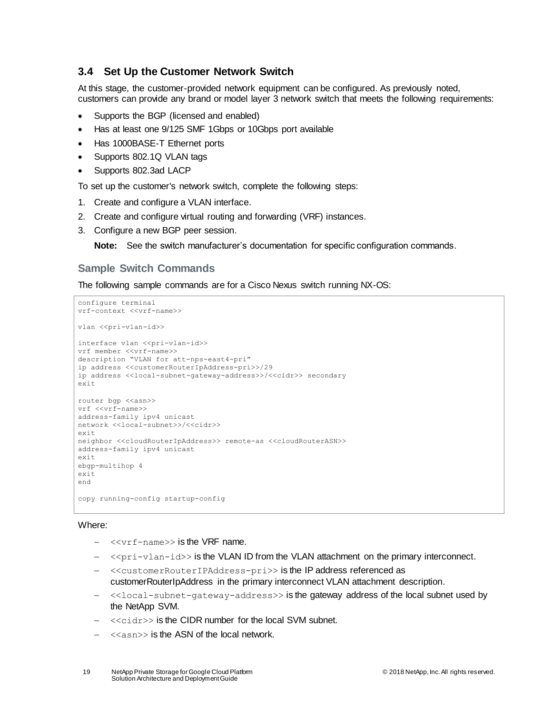## <span id="page-18-0"></span>**3.4 Set Up the Customer Network Switch**

At this stage, the customer-provided network equipment can be configured. As previously noted, customers can provide any brand or model layer 3 network switch that meets the following requirements:

- Supports the BGP (licensed and enabled)
- Has at least one 9/125 SMF 1Gbps or 10Gbps port available
- Has 1000BASE-T Ethernet ports
- Supports 802.1Q VLAN tags
- Supports 802.3ad LACP

To set up the customer's network switch, complete the following steps:

- 1. Create and configure a VLAN interface.
- 2. Create and configure virtual routing and forwarding (VRF) instances.
- 3. Configure a new BGP peer session.

**Note:** See the switch manufacturer's documentation for specific configuration commands.

#### **Sample Switch Commands**

The following sample commands are for a Cisco Nexus switch running NX-OS:

```
configure terminal 
vrf-context <<vrf-name>>
vlan <<pri-vlan-id>>
interface vlan << pri-vlan-id>>
vrf member <<vrf-name>>
description "VLAN for att-nps-east4-pri" 
ip address <<customerRouterIpAddress-pri>>/29
ip address <<local-subnet-gateway-address>>/<<cidr>> secondary 
exit
router bgp <<asn>>
vrf <<vrf-name>>
address-family ipv4 unicast
network <<local-subnet>>/<<cidr>>>>>>
exit
neighbor <<cloudRouterIpAddress>> remote-as <<cloudRouterASN>>
address-family ipv4 unicast
exit
ebgp-multihop 4
exit
end
copy running-config startup-config
```
#### Where:

- $-$  <<vrf-name>> is the VRF name.
- <<pri-vlan-id>> is the VLAN ID from the VLAN attachment on the primary interconnect.
- <<customerRouterIPAddress-pri>> is the IP address referenced as customerRouterIpAddress in the primary interconnect VLAN attachment description.
- <<local-subnet-gateway-address>> is the gateway address of the local subnet used by the NetApp SVM.
- $-$  <<cidr>> is the CIDR number for the local SVM subnet.
- $\langle\langle a_{\rm SD} \rangle$  is the ASN of the local network.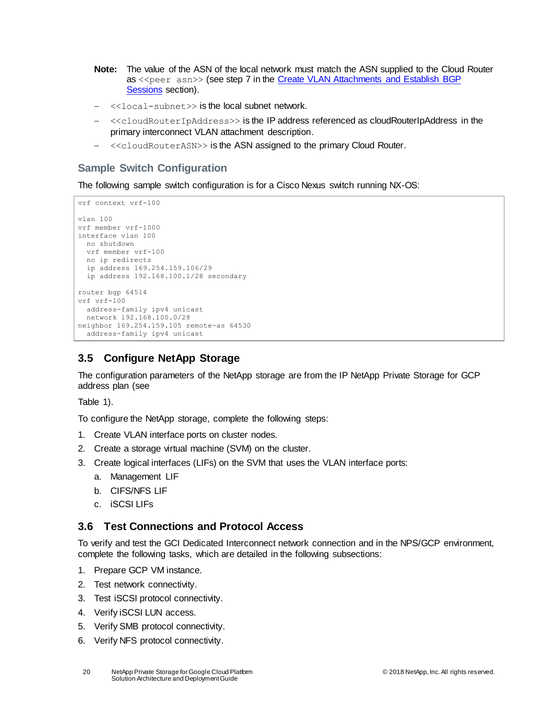- **Note:** The value of the ASN of the local network must match the ASN supplied to the Cloud Router as <<peer asn>> (see step 7 in the Create VLAN Attachments and Establish BGP [Sessions](#page-16-0) section).
- <<local-subnet>> is the local subnet network.
- <<cloudRouterIpAddress>> is the IP address referenced as cloudRouterIpAddress in the primary interconnect VLAN attachment description.
- <<cloudRouterASN>> is the ASN assigned to the primary Cloud Router.

## **Sample Switch Configuration**

The following sample switch configuration is for a Cisco Nexus switch running NX-OS:

```
vrf context vrf-100
vlan 100
vrf member vrf-1000
interface vlan 100
  no shutdown
  vrf member vrf-100
  no ip redirects
  ip address 169.254.159.106/29
  ip address 192.168.100.1/28 secondary
router bgp 64514
vrf vrf-100
  address-family ipv4 unicast
  network 192.168.100.0/28
neighbor 169.254.159.105 remote-as 64530
  address-family ipv4 unicast
```
## <span id="page-19-0"></span>**3.5 Configure NetApp Storage**

The configuration [parameters of the NetApp storage are from the IP NetApp Private Storage for GCP](#page-10-1) address plan (see

[Table 1\)](#page-10-1).

To configure the NetApp storage, complete the following steps:

- 1. Create VLAN interface ports on cluster nodes.
- 2. Create a storage virtual machine (SVM) on the cluster.
- 3. Create logical interfaces (LIFs) on the SVM that uses the VLAN interface ports:
	- a. Management LIF
	- b. CIFS/NFS LIF
	- c. iSCSI LIFs

## <span id="page-19-1"></span>**3.6 Test Connections and Protocol Access**

To verify and test the GCI Dedicated Interconnect network connection and in the NPS/GCP environment, complete the following tasks, which are detailed in the following subsections:

- 1. Prepare GCP VM instance.
- 2. Test network connectivity.
- 3. Test iSCSI protocol connectivity.
- 4. Verify iSCSI LUN access.
- 5. Verify SMB protocol connectivity.
- 6. Verify NFS protocol connectivity.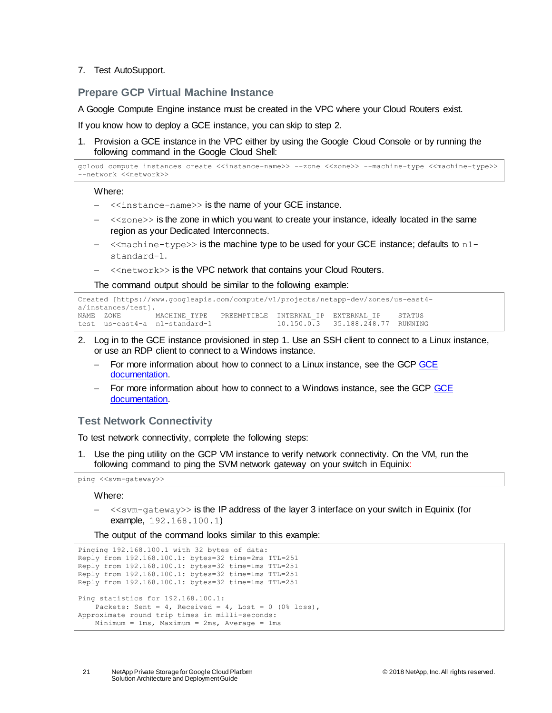#### 7. Test AutoSupport.

#### **Prepare GCP Virtual Machine Instance**

A Google Compute Engine instance must be created in the VPC where your Cloud Routers exist.

If you know how to deploy a GCE instance, you can skip to step 2.

1. Provision a GCE instance in the VPC either by using the Google Cloud Console or by running the following command in the Google Cloud Shell:

```
gcloud compute instances create <<instance-name>> --zone <<zone>> --machine-type <<machine-type>> 
--network <<network>>
```
#### Where:

- <<instance-name>> is the name of your GCE instance.
- <<zone>> is the zone in which you want to create your instance, ideally located in the same region as your Dedicated Interconnects.
- $\leq$   $\leq$   $\leq$   $\leq$   $\leq$   $\leq$   $\leq$   $\leq$   $\leq$   $\leq$   $\leq$   $\leq$   $\leq$   $\leq$   $\leq$   $\leq$   $\leq$   $\leq$   $\leq$   $\leq$   $\leq$   $\leq$   $\leq$   $\leq$   $\leq$   $\leq$   $\leq$   $\leq$   $\leq$   $\leq$   $\leq$   $\leq$   $\leq$   $\leq$   $\leq$   $\leq$  standard-1.
- $-$  <<network>> is the VPC network that contains your Cloud Routers.

The command output should be similar to the following example:

```
Created [https://www.googleapis.com/compute/v1/projects/netapp-dev/zones/us-east4-
a/instances/test].
NAME ZONE MACHINE_TYPE PREEMPTIBLE INTERNAL_IP EXTERNAL_IP STATUS
test us-east4-a n1-standard-1 10.150.0.3 35.188.248.77 RUNNING
```
- 2. Log in to the GCE instance provisioned in step 1. Use an SSH client to connect to a Linux instance, or use an RDP client to connect to a Windows instance.
	- For more information about how to connect to a Linux instance, see the GCP [GCE](https://cloud.google.com/compute/docs/instances/connecting-to-instance)  [documentation.](https://cloud.google.com/compute/docs/instances/connecting-to-instance)
	- For more information about how to connect to a Windows instance, see the GCP [GCE](https://cloud.google.com/compute/docs/instances/windows/connecting-to-windows-instance)  [documentation.](https://cloud.google.com/compute/docs/instances/windows/connecting-to-windows-instance)

#### **Test Network Connectivity**

To test network connectivity, complete the following steps:

Use the ping utility on the GCP VM instance to verify network connectivity. On the VM, run the following command to ping the SVM network gateway on your switch in Equinix:

```
ping <<svm-gateway>>
```
#### Where:

 <<svm-gateway>> is the IP address of the layer 3 interface on your switch in Equinix (for example, 192.168.100.1)

The output of the command looks similar to this example:

```
Pinging 192.168.100.1 with 32 bytes of data:
Reply from 192.168.100.1: bytes=32 time=2ms TTL=251
Reply from 192.168.100.1: bytes=32 time=1ms TTL=251
Reply from 192.168.100.1: bytes=32 time=1ms TTL=251
Reply from 192.168.100.1: bytes=32 time=1ms TTL=251
Ping statistics for 192.168.100.1:
   Packets: Sent = 4, Received = 4, Lost = 0 (0% loss),
Approximate round trip times in milli-seconds:
    Minimum = 1ms, Maximum = 2ms, Average = 1ms
```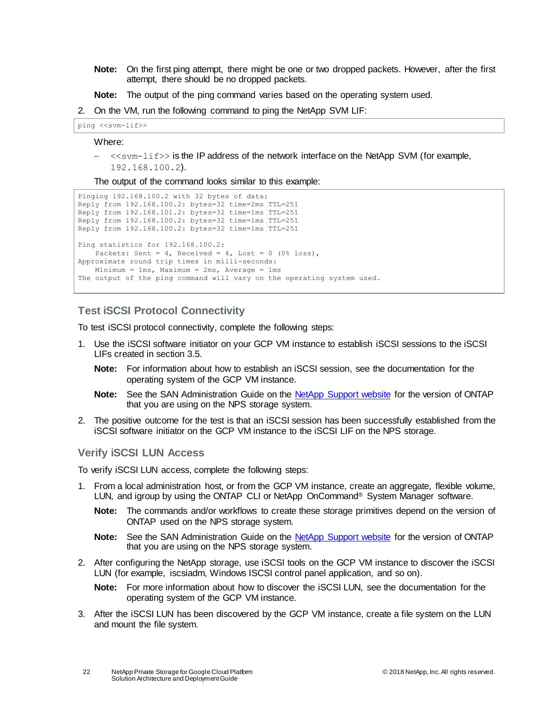**Note:** On the first ping attempt, there might be one or two dropped packets. However, after the first attempt, there should be no dropped packets.

**Note:** The output of the ping command varies based on the operating system used.

2. On the VM, run the following command to ping the NetApp SVM LIF:

```
ping <<svm-lif>>
```
Where:

 $\langle\langle\sin^{-1}1f\angle\rangle\rangle$  is the IP address of the network interface on the NetApp SVM (for example, 192.168.100.2).

The output of the command looks similar to this example:

```
Pinging 192.168.100.2 with 32 bytes of data:
Reply from 192.168.100.2: bytes=32 time=2ms TTL=251
Reply from 192.168.101.2: bytes=32 time=1ms TTL=251
Reply from 192.168.100.2: bytes=32 time=1ms TTL=251
Reply from 192.168.100.2: bytes=32 time=1ms TTL=251
Ping statistics for 192.168.100.2:
   Packets: Sent = 4, Received = 4, Lost = 0 (0% loss),
Approximate round trip times in milli-seconds:
    Minimum = 1ms, Maximum = 2ms, Average = 1ms
The output of the ping command will vary on the operating system used.
```
## **Test iSCSI Protocol Connectivity**

To test iSCSI protocol connectivity, complete the following steps:

- 1. Use the iSCSI software initiator on your GCP VM instance to establish iSCSI sessions to the iSCSI LIFs created in section 3.5.
	- **Note:** For information about how to establish an iSCSI session, see the documentation for the operating system of the GCP VM instance.
	- **Note:** See the SAN Administration Guide on the [NetApp Support website](https://mysupport.netapp.com/) for the version of ONTAP that you are using on the NPS storage system.
- 2. The positive outcome for the test is that an iSCSI session has been successfully established from the iSCSI software initiator on the GCP VM instance to the iSCSI LIF on the NPS storage.

#### **Verify iSCSI LUN Access**

To verify iSCSI LUN access, complete the following steps:

- 1. From a local administration host, or from the GCP VM instance, create an aggregate, flexible volume, LUN, and igroup by using the ONTAP CLI or NetApp OnCommand® System Manager software.
	- **Note:** The commands and/or workflows to create these storage primitives depend on the version of ONTAP used on the NPS storage system.
	- **Note:** See the SAN Administration Guide on the [NetApp Support website](https://mysupport.netapp.com/) for the version of ONTAP that you are using on the NPS storage system.
- 2. After configuring the NetApp storage, use iSCSI tools on the GCP VM instance to discover the iSCSI LUN (for example, iscsiadm, Windows ISCSI control panel application, and so on).
	- **Note:** For more information about how to discover the iSCSI LUN, see the documentation for the operating system of the GCP VM instance.
- 3. After the iSCSI LUN has been discovered by the GCP VM instance, create a file system on the LUN and mount the file system.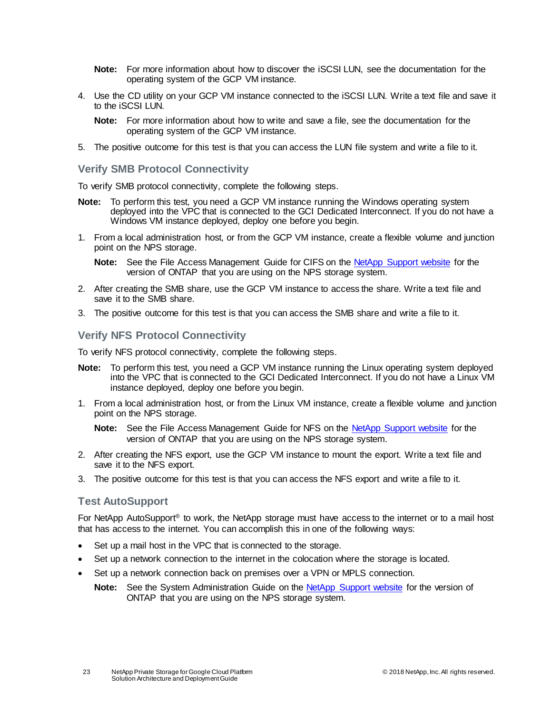- **Note:** For more information about how to discover the iSCSI LUN, see the documentation for the operating system of the GCP VM instance.
- 4. Use the CD utility on your GCP VM instance connected to the iSCSI LUN. Write a text file and save it to the iSCSI LUN.

**Note:** For more information about how to write and save a file, see the documentation for the operating system of the GCP VM instance.

5. The positive outcome for this test is that you can access the LUN file system and write a file to it.

#### **Verify SMB Protocol Connectivity**

To verify SMB protocol connectivity, complete the following steps.

- **Note:** To perform this test, you need a GCP VM instance running the Windows operating system deployed into the VPC that is connected to the GCI Dedicated Interconnect. If you do not have a Windows VM instance deployed, deploy one before you begin.
- 1. From a local administration host, or from the GCP VM instance, create a flexible volume and junction point on the NPS storage.

**Note:** See the File Access Management Guide for CIFS on the [NetApp Support website](https://mysupport.netapp.com/) for the version of ONTAP that you are using on the NPS storage system.

- 2. After creating the SMB share, use the GCP VM instance to access the share. Write a text file and save it to the SMB share.
- 3. The positive outcome for this test is that you can access the SMB share and write a file to it.

#### **Verify NFS Protocol Connectivity**

To verify NFS protocol connectivity, complete the following steps.

- **Note:** To perform this test, you need a GCP VM instance running the Linux operating system deployed into the VPC that is connected to the GCI Dedicated Interconnect. If you do not have a Linux VM instance deployed, deploy one before you begin.
- 1. From a local administration host, or from the Linux VM instance, create a flexible volume and junction point on the NPS storage.
	- **Note:** See the File Access Management Guide for NFS on the [NetApp Support website](https://mysupport.netapp.com/) for the version of ONTAP that you are using on the NPS storage system.
- 2. After creating the NFS export, use the GCP VM instance to mount the export. Write a text file and save it to the NFS export.
- 3. The positive outcome for this test is that you can access the NFS export and write a file to it.

## **Test AutoSupport**

For NetApp AutoSupport® to work, the NetApp storage must have access to the internet or to a mail host that has access to the internet. You can accomplish this in one of the following ways:

- Set up a mail host in the VPC that is connected to the storage.
- Set up a network connection to the internet in the colocation where the storage is located.
- Set up a network connection back on premises over a VPN or MPLS connection.
	- **Note:** See the System Administration Guide on the [NetApp Support website](https://mysupport.netapp.com/) for the version of ONTAP that you are using on the NPS storage system.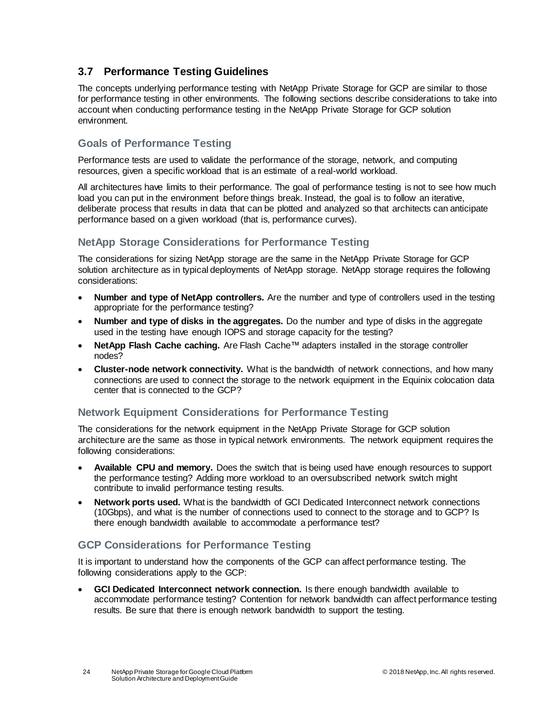## <span id="page-23-0"></span>**3.7 Performance Testing Guidelines**

The concepts underlying performance testing with NetApp Private Storage for GCP are similar to those for performance testing in other environments. The following sections describe considerations to take into account when conducting performance testing in the NetApp Private Storage for GCP solution environment.

## **Goals of Performance Testing**

Performance tests are used to validate the performance of the storage, network, and computing resources, given a specific workload that is an estimate of a real-world workload.

All architectures have limits to their performance. The goal of performance testing is not to see how much load you can put in the environment before things break. Instead, the goal is to follow an iterative, deliberate process that results in data that can be plotted and analyzed so that architects can anticipate performance based on a given workload (that is, performance curves).

## **NetApp Storage Considerations for Performance Testing**

The considerations for sizing NetApp storage are the same in the NetApp Private Storage for GCP solution architecture as in typical deployments of NetApp storage. NetApp storage requires the following considerations:

- **Number and type of NetApp controllers.** Are the number and type of controllers used in the testing appropriate for the performance testing?
- **Number and type of disks in the aggregates.** Do the number and type of disks in the aggregate used in the testing have enough IOPS and storage capacity for the testing?
- **NetApp Flash Cache caching.** Are Flash Cache™ adapters installed in the storage controller nodes?
- **Cluster-node network connectivity.** What is the bandwidth of network connections, and how many connections are used to connect the storage to the network equipment in the Equinix colocation data center that is connected to the GCP?

## **Network Equipment Considerations for Performance Testing**

The considerations for the network equipment in the NetApp Private Storage for GCP solution architecture are the same as those in typical network environments. The network equipment requires the following considerations:

- **Available CPU and memory.** Does the switch that is being used have enough resources to support the performance testing? Adding more workload to an oversubscribed network switch might contribute to invalid performance testing results.
- **Network ports used.** What is the bandwidth of GCI Dedicated Interconnect network connections (10Gbps), and what is the number of connections used to connect to the storage and to GCP? Is there enough bandwidth available to accommodate a performance test?

## **GCP Considerations for Performance Testing**

It is important to understand how the components of the GCP can affect performance testing. The following considerations apply to the GCP:

• **GCI Dedicated Interconnect network connection.** Is there enough bandwidth available to accommodate performance testing? Contention for network bandwidth can affect performance testing results. Be sure that there is enough network bandwidth to support the testing.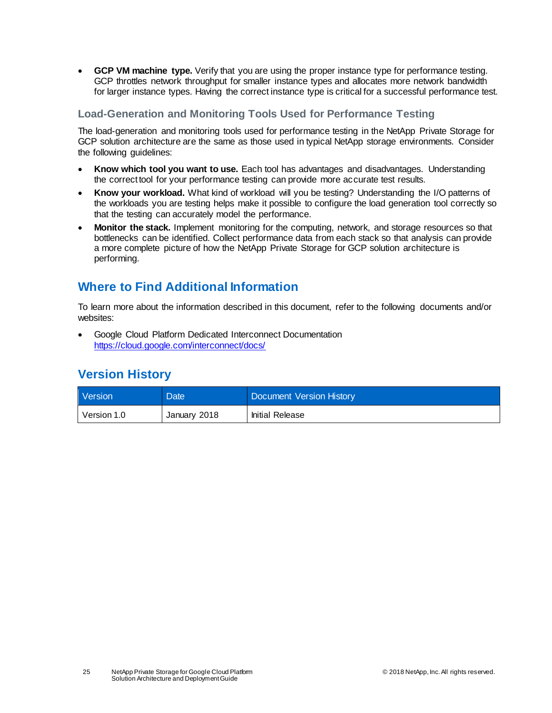• **GCP VM machine type.** Verify that you are using the proper instance type for performance testing. GCP throttles network throughput for smaller instance types and allocates more network bandwidth for larger instance types. Having the correct instance type is critical for a successful performance test.

## **Load-Generation and Monitoring Tools Used for Performance Testing**

The load-generation and monitoring tools used for performance testing in the NetApp Private Storage for GCP solution architecture are the same as those used in typical NetApp storage environments. Consider the following guidelines:

- **Know which tool you want to use.** Each tool has advantages and disadvantages. Understanding the correct tool for your performance testing can provide more accurate test results.
- **Know your workload.** What kind of workload will you be testing? Understanding the I/O patterns of the workloads you are testing helps make it possible to configure the load generation tool correctly so that the testing can accurately model the performance.
- **Monitor the stack.** Implement monitoring for the computing, network, and storage resources so that bottlenecks can be identified. Collect performance data from each stack so that analysis can provide a more complete picture of how the NetApp Private Storage for GCP solution architecture is performing.

## <span id="page-24-0"></span>**Where to Find Additional Information**

To learn more about the information described in this document, refer to the following documents and/or websites:

• Google Cloud Platform Dedicated Interconnect Documentation <https://cloud.google.com/interconnect/docs/>

## <span id="page-24-1"></span>**Version History**

| <b>Version</b><br><b>Date</b> |              | Document Version History |
|-------------------------------|--------------|--------------------------|
| Version 1.0                   | January 2018 | Initial Release          |